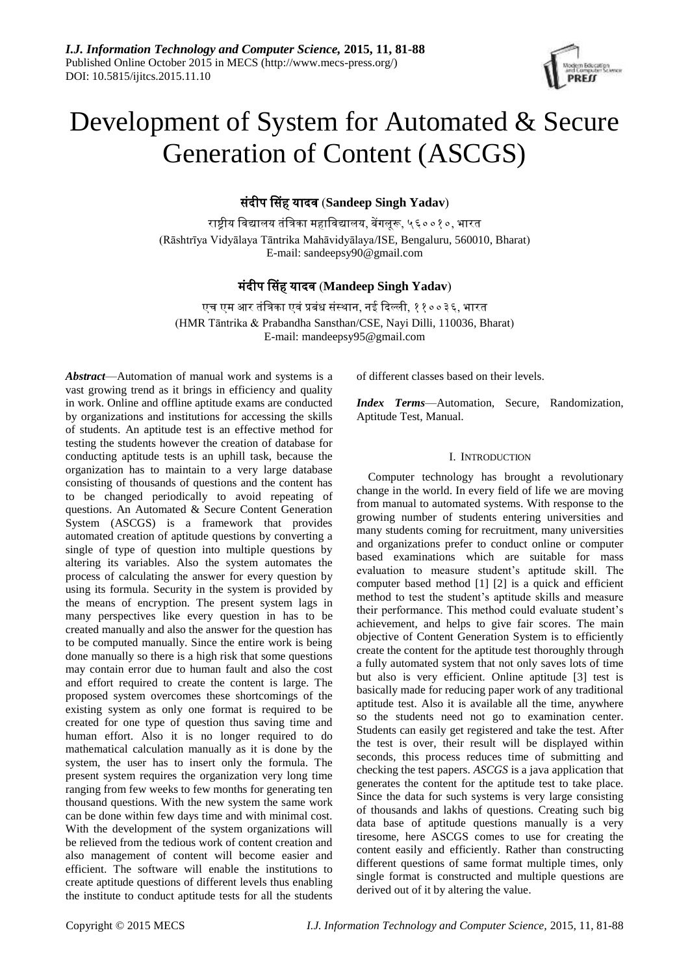

# Development of System for Automated & Secure Generation of Content (ASCGS)

संदीप ससह यादव (**Sandeep Singh Yadav**)

राष्ट्रीय ववद्यालय तंविका महाववद्यालय, बेंगलूरू, ५६००१०, भारत (Rāshtrīya Vidyālaya Tāntrika Mahāvidyālaya/ISE, Bengaluru, 560010, Bharat) E-mail: sandeepsy90@gmail.com

# मंदीप ससह यादव (**Mandeep Singh Yadav**)

एच एम आर तंविका एवंप्रबंध संस्थान, नई ददल्ली, ११००३६, भारत [\(HMR Tāntrika & Prabandha Sansthan/](https://en.wikipedia.org/wiki/HMR_Institute_of_Technology_%26_Management)CSE, Nayi Dilli, 110036, Bharat) E-mail: mandeepsy95@gmail.com

*Abstract*—Automation of manual work and systems is a vast growing trend as it brings in efficiency and quality in work. Online and offline aptitude exams are conducted by organizations and institutions for accessing the skills of students. An aptitude test is an effective method for testing the students however the creation of database for conducting aptitude tests is an uphill task, because the organization has to maintain to a very large database consisting of thousands of questions and the content has to be changed periodically to avoid repeating of questions. An Automated & Secure Content Generation System (ASCGS) is a framework that provides automated creation of aptitude questions by converting a single of type of question into multiple questions by altering its variables. Also the system automates the process of calculating the answer for every question by using its formula. Security in the system is provided by the means of encryption. The present system lags in many perspectives like every question in has to be created manually and also the answer for the question has to be computed manually. Since the entire work is being done manually so there is a high risk that some questions may contain error due to human fault and also the cost and effort required to create the content is large. The proposed system overcomes these shortcomings of the existing system as only one format is required to be created for one type of question thus saving time and human effort. Also it is no longer required to do mathematical calculation manually as it is done by the system, the user has to insert only the formula. The present system requires the organization very long time ranging from few weeks to few months for generating ten thousand questions. With the new system the same work can be done within few days time and with minimal cost. With the development of the system organizations will be relieved from the tedious work of content creation and also management of content will become easier and efficient. The software will enable the institutions to create aptitude questions of different levels thus enabling the institute to conduct aptitude tests for all the students

of different classes based on their levels.

*Index Terms*—Automation, Secure, Randomization, Aptitude Test, Manual.

## I. INTRODUCTION

Computer technology has brought a revolutionary change in the world. In every field of life we are moving from manual to automated systems. With response to the growing number of students entering universities and many students coming for recruitment, many universities and organizations prefer to conduct online or computer based examinations which are suitable for mass evaluation to measure student's aptitude skill. The computer based method [1] [2] is a quick and efficient method to test the student's aptitude skills and measure their performance. This method could evaluate student's achievement, and helps to give fair scores. The main objective of Content Generation System is to efficiently create the content for the aptitude test thoroughly through a fully automated system that not only saves lots of time but also is very efficient. Online aptitude [3] test is basically made for reducing paper work of any traditional aptitude test. Also it is available all the time, anywhere so the students need not go to examination center. Students can easily get registered and take the test. After the test is over, their result will be displayed within seconds, this process reduces time of submitting and checking the test papers. *ASCGS* is a java application that generates the content for the aptitude test to take place. Since the data for such systems is very large consisting of thousands and lakhs of questions. Creating such big data base of aptitude questions manually is a very tiresome, here ASCGS comes to use for creating the content easily and efficiently. Rather than constructing different questions of same format multiple times, only single format is constructed and multiple questions are derived out of it by altering the value.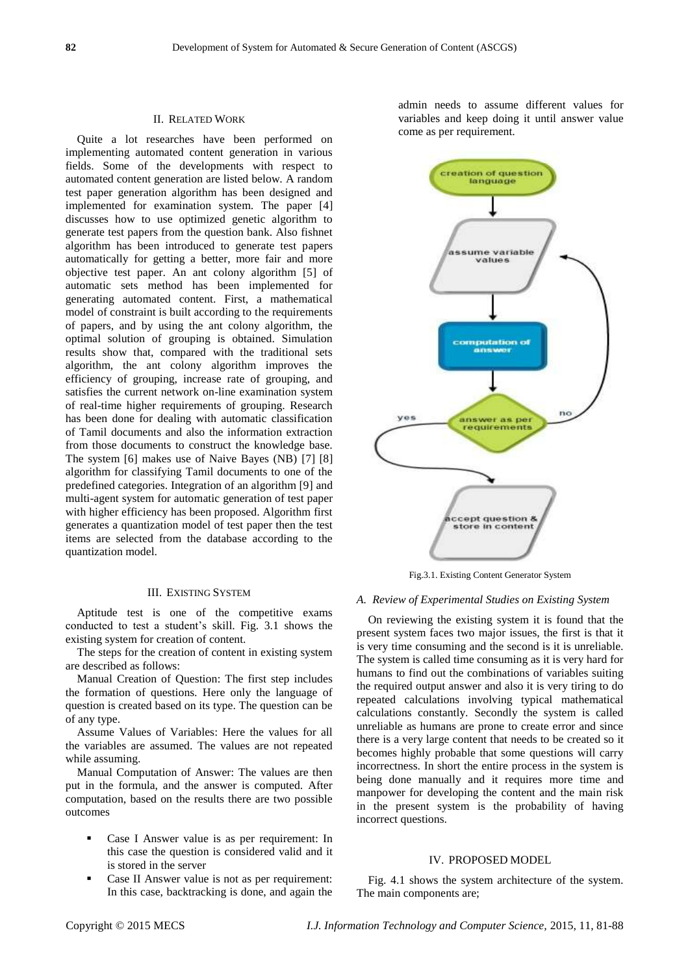#### II. RELATED WORK

Quite a lot researches have been performed on implementing automated content generation in various fields. Some of the developments with respect to automated content generation are listed below. A random test paper generation algorithm has been designed and implemented for examination system. The paper [4] discusses how to use optimized genetic algorithm to generate test papers from the question bank. Also fishnet algorithm has been introduced to generate test papers automatically for getting a better, more fair and more objective test paper. An ant colony algorithm [5] of automatic sets method has been implemented for generating automated content. First, a mathematical model of constraint is built according to the requirements of papers, and by using the ant colony algorithm, the optimal solution of grouping is obtained. Simulation results show that, compared with the traditional sets algorithm, the ant colony algorithm improves the efficiency of grouping, increase rate of grouping, and satisfies the current network on-line examination system of real-time higher requirements of grouping. Research has been done for dealing with automatic classification of Tamil documents and also the information extraction from those documents to construct the knowledge base. The system [6] makes use of Naive Bayes (NB) [7] [8] algorithm for classifying Tamil documents to one of the predefined categories. Integration of an algorithm [9] and multi-agent system for automatic generation of test paper with higher efficiency has been proposed. Algorithm first generates a quantization model of test paper then the test items are selected from the database according to the quantization model.

# III. EXISTING SYSTEM

Aptitude test is one of the competitive exams conducted to test a student's skill. Fig. 3.1 shows the existing system for creation of content.

The steps for the creation of content in existing system are described as follows:

Manual Creation of Question: The first step includes the formation of questions. Here only the language of question is created based on its type. The question can be of any type.

Assume Values of Variables: Here the values for all the variables are assumed. The values are not repeated while assuming.

Manual Computation of Answer: The values are then put in the formula, and the answer is computed. After computation, based on the results there are two possible outcomes

- Case I Answer value is as per requirement: In this case the question is considered valid and it is stored in the server
- Case II Answer value is not as per requirement: In this case, backtracking is done, and again the

admin needs to assume different values for variables and keep doing it until answer value come as per requirement.



Fig.3.1. Existing Content Generator System

#### *A. Review of Experimental Studies on Existing System*

On reviewing the existing system it is found that the present system faces two major issues, the first is that it is very time consuming and the second is it is unreliable. The system is called time consuming as it is very hard for humans to find out the combinations of variables suiting the required output answer and also it is very tiring to do repeated calculations involving typical mathematical calculations constantly. Secondly the system is called unreliable as humans are prone to create error and since there is a very large content that needs to be created so it becomes highly probable that some questions will carry incorrectness. In short the entire process in the system is being done manually and it requires more time and manpower for developing the content and the main risk in the present system is the probability of having incorrect questions.

#### IV. PROPOSED MODEL

Fig. 4.1 shows the system architecture of the system. The main components are;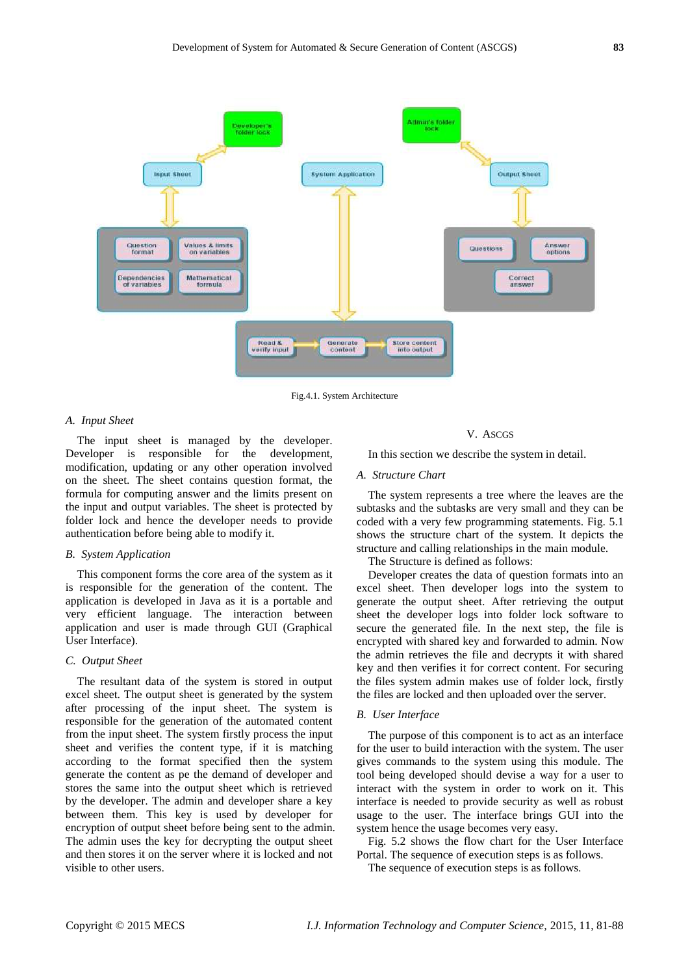

Fig.4.1. System Architecture

#### *A. Input Sheet*

The input sheet is managed by the developer. Developer is responsible for the development, modification, updating or any other operation involved on the sheet. The sheet contains question format, the formula for computing answer and the limits present on the input and output variables. The sheet is protected by folder lock and hence the developer needs to provide authentication before being able to modify it.

#### *B. System Application*

This component forms the core area of the system as it is responsible for the generation of the content. The application is developed in Java as it is a portable and very efficient language. The interaction between application and user is made through GUI (Graphical User Interface).

#### *C. Output Sheet*

The resultant data of the system is stored in output excel sheet. The output sheet is generated by the system after processing of the input sheet. The system is responsible for the generation of the automated content from the input sheet. The system firstly process the input sheet and verifies the content type, if it is matching according to the format specified then the system generate the content as pe the demand of developer and stores the same into the output sheet which is retrieved by the developer. The admin and developer share a key between them. This key is used by developer for encryption of output sheet before being sent to the admin. The admin uses the key for decrypting the output sheet and then stores it on the server where it is locked and not visible to other users.

#### V. ASCGS

In this section we describe the system in detail.

# *A. Structure Chart*

The system represents a tree where the leaves are the subtasks and the subtasks are very small and they can be coded with a very few programming statements. Fig. 5.1 shows the structure chart of the system. It depicts the structure and calling relationships in the main module.

The Structure is defined as follows:

Developer creates the data of question formats into an excel sheet. Then developer logs into the system to generate the output sheet. After retrieving the output sheet the developer logs into folder lock software to secure the generated file. In the next step, the file is encrypted with shared key and forwarded to admin. Now the admin retrieves the file and decrypts it with shared key and then verifies it for correct content. For securing the files system admin makes use of folder lock, firstly the files are locked and then uploaded over the server.

#### *B. User Interface*

The purpose of this component is to act as an interface for the user to build interaction with the system. The user gives commands to the system using this module. The tool being developed should devise a way for a user to interact with the system in order to work on it. This interface is needed to provide security as well as robust usage to the user. The interface brings GUI into the system hence the usage becomes very easy.

Fig. 5.2 shows the flow chart for the User Interface Portal. The sequence of execution steps is as follows.

The sequence of execution steps is as follows.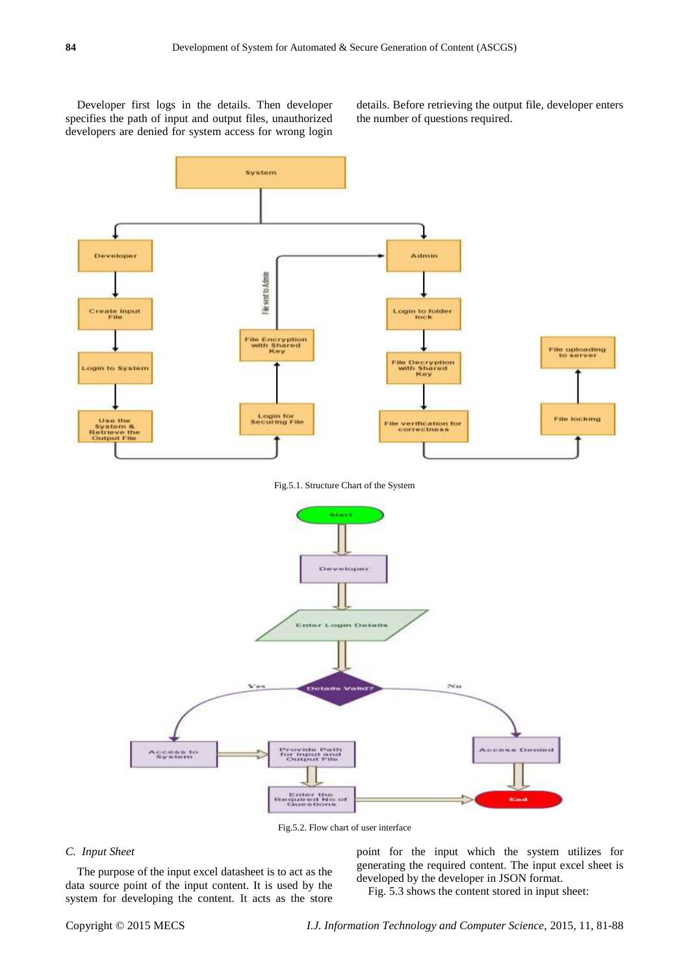Developer first logs in the details. Then developer specifies the path of input and output files, unauthorized developers are denied for system access for wrong login details. Before retrieving the output file, developer enters the number of questions required.



Fig.5.2. Flow chart of user interface

#### *C. Input Sheet*

The purpose of the input excel datasheet is to act as the data source point of the input content. It is used by the system for developing the content. It acts as the store point for the input which the system utilizes for generating the required content. The input excel sheet is developed by the developer in JSON format.

Fig. 5.3 shows the content stored in input sheet: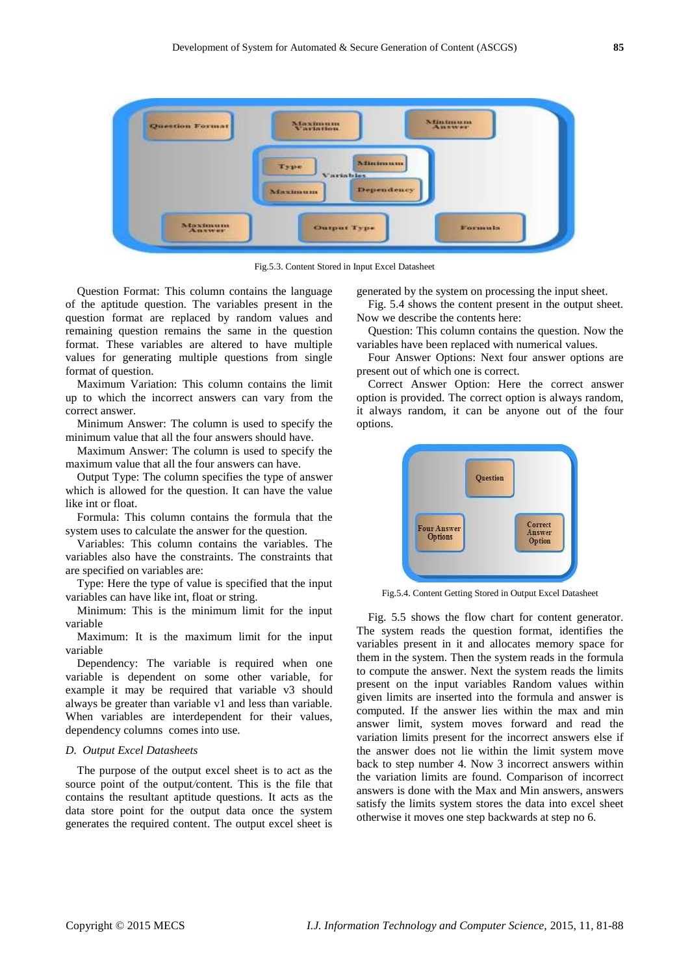

Fig.5.3. Content Stored in Input Excel Datasheet

Question Format: This column contains the language of the aptitude question. The variables present in the question format are replaced by random values and remaining question remains the same in the question format. These variables are altered to have multiple values for generating multiple questions from single format of question.

Maximum Variation: This column contains the limit up to which the incorrect answers can vary from the correct answer.

Minimum Answer: The column is used to specify the minimum value that all the four answers should have.

Maximum Answer: The column is used to specify the maximum value that all the four answers can have.

Output Type: The column specifies the type of answer which is allowed for the question. It can have the value like int or float.

Formula: This column contains the formula that the system uses to calculate the answer for the question.

Variables: This column contains the variables. The variables also have the constraints. The constraints that are specified on variables are:

Type: Here the type of value is specified that the input variables can have like int, float or string.

Minimum: This is the minimum limit for the input variable

Maximum: It is the maximum limit for the input variable

Dependency: The variable is required when one variable is dependent on some other variable, for example it may be required that variable v3 should always be greater than variable v1 and less than variable. When variables are interdependent for their values, dependency columns comes into use.

### *D. Output Excel Datasheets*

The purpose of the output excel sheet is to act as the source point of the output*/*content. This is the file that contains the resultant aptitude questions. It acts as the data store point for the output data once the system generates the required content. The output excel sheet is

generated by the system on processing the input sheet.

Fig. 5.4 shows the content present in the output sheet. Now we describe the contents here:

Question: This column contains the question. Now the variables have been replaced with numerical values.

Four Answer Options: Next four answer options are present out of which one is correct.

Correct Answer Option: Here the correct answer option is provided. The correct option is always random, it always random, it can be anyone out of the four options.



Fig.5.4. Content Getting Stored in Output Excel Datasheet

Fig. 5.5 shows the flow chart for content generator. The system reads the question format, identifies the variables present in it and allocates memory space for them in the system. Then the system reads in the formula to compute the answer. Next the system reads the limits present on the input variables Random values within given limits are inserted into the formula and answer is computed. If the answer lies within the max and min answer limit, system moves forward and read the variation limits present for the incorrect answers else if the answer does not lie within the limit system move back to step number 4. Now 3 incorrect answers within the variation limits are found. Comparison of incorrect answers is done with the Max and Min answers, answers satisfy the limits system stores the data into excel sheet otherwise it moves one step backwards at step no 6.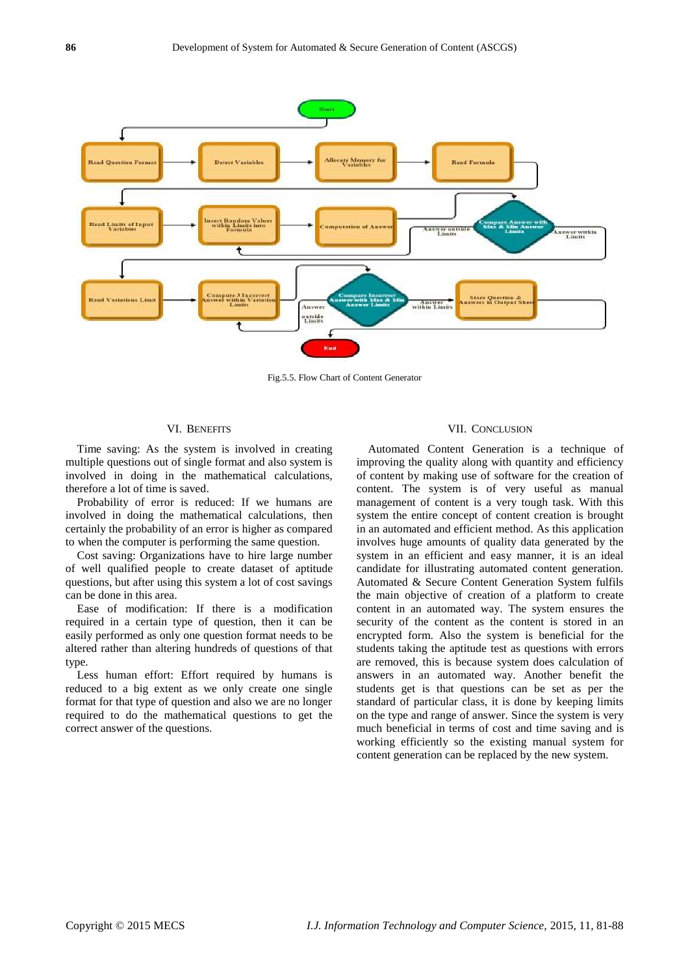

Fig.5.5. Flow Chart of Content Generator

# VI. BENEFITS

Time saving: As the system is involved in creating multiple questions out of single format and also system is involved in doing in the mathematical calculations, therefore a lot of time is saved.

Probability of error is reduced: If we humans are involved in doing the mathematical calculations, then certainly the probability of an error is higher as compared to when the computer is performing the same question.

Cost saving: Organizations have to hire large number of well qualified people to create dataset of aptitude questions, but after using this system a lot of cost savings can be done in this area.

Ease of modification: If there is a modification required in a certain type of question, then it can be easily performed as only one question format needs to be altered rather than altering hundreds of questions of that type.

Less human effort: Effort required by humans is reduced to a big extent as we only create one single format for that type of question and also we are no longer required to do the mathematical questions to get the correct answer of the questions.

# VII. CONCLUSION

Automated Content Generation is a technique of improving the quality along with quantity and efficiency of content by making use of software for the creation of content. The system is of very useful as manual management of content is a very tough task. With this system the entire concept of content creation is brought in an automated and efficient method. As this application involves huge amounts of quality data generated by the system in an efficient and easy manner, it is an ideal candidate for illustrating automated content generation. Automated & Secure Content Generation System fulfils the main objective of creation of a platform to create content in an automated way. The system ensures the security of the content as the content is stored in an encrypted form. Also the system is beneficial for the students taking the aptitude test as questions with errors are removed, this is because system does calculation of answers in an automated way. Another benefit the students get is that questions can be set as per the standard of particular class, it is done by keeping limits on the type and range of answer. Since the system is very much beneficial in terms of cost and time saving and is working efficiently so the existing manual system for content generation can be replaced by the new system.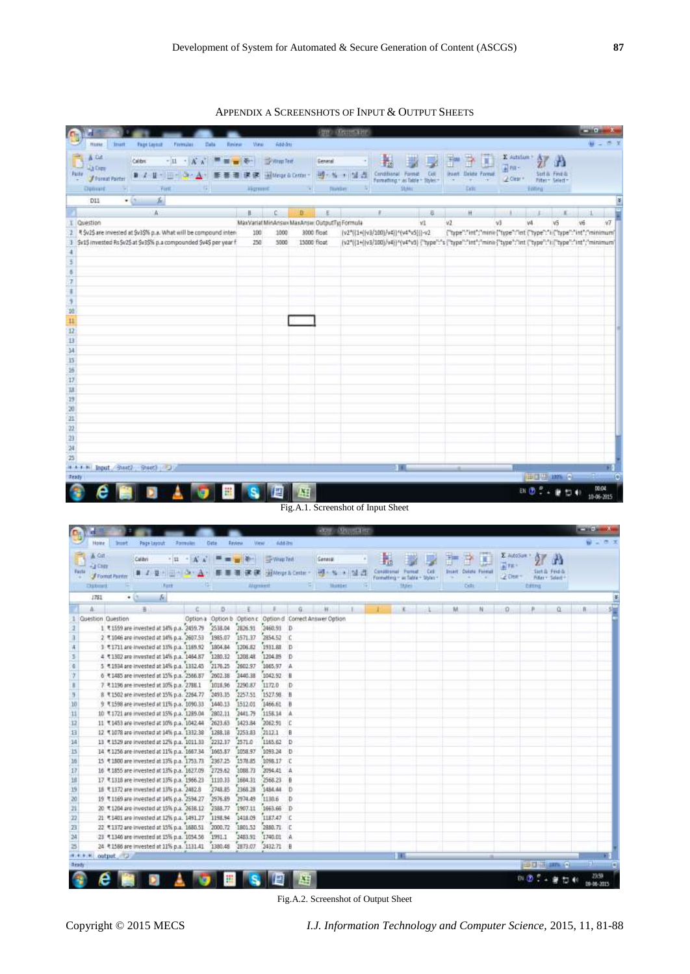APPENDIX A SCREENSHOTS OF INPUT & OUTPUT SHEETS

|                                                                  |                                                                                                                                |                                                                                                         |                                                           |                       |                                               |                                     |                   | <b>SEE ANTICARE</b>                |                                     |               |     |                   |                            |                                                                                                                |                                                 |                               |            |              |
|------------------------------------------------------------------|--------------------------------------------------------------------------------------------------------------------------------|---------------------------------------------------------------------------------------------------------|-----------------------------------------------------------|-----------------------|-----------------------------------------------|-------------------------------------|-------------------|------------------------------------|-------------------------------------|---------------|-----|-------------------|----------------------------|----------------------------------------------------------------------------------------------------------------|-------------------------------------------------|-------------------------------|------------|--------------|
| Home<br>青石油<br>$-$ Listney<br><b>Fuile</b><br>- J'Farmat Pointer | Imart<br><b>Fage Layers</b><br>Calibra.                                                                                        | Ferman<br>$-11 - K_A$ = $\equiv \frac{1}{2}$ Weather<br>B / H - D - D - A - 手書書 講演 Blenchten - 号·N + 실종 | Data<br>Resieur                                           | Weig                  | Assistru                                      |                                     | General           |                                    | Conditional Format Cell             |               |     | <b>STATISTICS</b> | <b>Ihant</b> Dritte Formal | E Autolum<br>$\frac{1}{2}$ PH-<br>LA Citar *                                                                   |                                                 | $\mathbf{r}$<br>Sart & Find & |            |              |
| <b>Debrait</b>                                                   | m                                                                                                                              | Furt.                                                                                                   | the control of the control of                             |                       | liamet and                                    |                                     | <b>The Bobber</b> | $-5$                               | Formetting * as Table * Styles *    | <b>Styler</b> |     |                   | Horn Hor<br><b>Exit</b>    |                                                                                                                | Editorial                                       | Fitat - Select -              |            |              |
| DII                                                              | $-121$<br>E                                                                                                                    |                                                                                                         |                                                           |                       |                                               |                                     |                   |                                    |                                     |               |     |                   |                            |                                                                                                                |                                                 |                               |            |              |
|                                                                  | Á                                                                                                                              |                                                                                                         |                                                           |                       | c                                             | Đ.                                  | ε                 |                                    | E.                                  |               | 8   |                   | 社                          |                                                                                                                |                                                 |                               |            |              |
| Question                                                         |                                                                                                                                |                                                                                                         |                                                           |                       | MaxVarial MinAnswi MaxAnsw. OutputTy; Formula |                                     |                   |                                    |                                     |               | VI. | VŽ.               |                            | 43                                                                                                             | wi                                              | v5                            |            |              |
|                                                                  | * \$v2\$ are invested at \$v3\$% p.a. What will be compound inten-                                                             |                                                                                                         |                                                           | 100                   | 1000                                          |                                     | 3000 float        |                                    | [v2"((1+([v3/200]/v4)]*(v4"v5))]-v2 |               |     |                   |                            | ["type":"int";"minii ("type":"int ["type":"ii ["type":"int";"minimum"]                                         |                                                 |                               |            |              |
|                                                                  | Sv15 invested Rs \$v25 at \$v3\$% p.a compounded \$v4\$ per year f.                                                            |                                                                                                         |                                                           | 250                   | 5000                                          |                                     | 15000 float       |                                    |                                     |               |     |                   |                            | [v2*((1+(iv3/100)/v4))^(v4*v3) {"type":"s {"type":"int";"minii {"type":"int {"type":"ii{"type":"int";"minimum" |                                                 |                               |            |              |
|                                                                  |                                                                                                                                |                                                                                                         |                                                           |                       |                                               |                                     |                   |                                    |                                     |               |     |                   |                            |                                                                                                                |                                                 |                               |            |              |
|                                                                  |                                                                                                                                |                                                                                                         |                                                           |                       |                                               |                                     |                   |                                    |                                     |               |     |                   |                            |                                                                                                                |                                                 |                               |            |              |
|                                                                  |                                                                                                                                |                                                                                                         |                                                           |                       |                                               |                                     |                   |                                    |                                     |               |     |                   |                            |                                                                                                                |                                                 |                               |            |              |
|                                                                  |                                                                                                                                |                                                                                                         |                                                           |                       |                                               |                                     |                   |                                    |                                     |               |     |                   |                            |                                                                                                                |                                                 |                               |            |              |
|                                                                  |                                                                                                                                |                                                                                                         |                                                           |                       |                                               |                                     |                   |                                    |                                     |               |     |                   |                            |                                                                                                                |                                                 |                               |            |              |
|                                                                  |                                                                                                                                |                                                                                                         |                                                           |                       |                                               |                                     |                   |                                    |                                     |               |     |                   |                            |                                                                                                                |                                                 |                               |            |              |
|                                                                  |                                                                                                                                |                                                                                                         |                                                           |                       |                                               |                                     |                   |                                    |                                     |               |     |                   |                            |                                                                                                                |                                                 |                               |            |              |
|                                                                  |                                                                                                                                |                                                                                                         |                                                           |                       |                                               |                                     |                   |                                    |                                     |               |     |                   |                            |                                                                                                                |                                                 |                               |            |              |
|                                                                  |                                                                                                                                |                                                                                                         |                                                           |                       |                                               |                                     |                   |                                    |                                     |               |     |                   |                            |                                                                                                                |                                                 |                               |            |              |
|                                                                  |                                                                                                                                |                                                                                                         |                                                           |                       |                                               |                                     |                   |                                    |                                     |               |     |                   |                            |                                                                                                                |                                                 |                               |            |              |
|                                                                  |                                                                                                                                |                                                                                                         |                                                           |                       |                                               |                                     |                   |                                    |                                     |               |     |                   |                            |                                                                                                                |                                                 |                               |            |              |
|                                                                  |                                                                                                                                |                                                                                                         |                                                           |                       |                                               |                                     |                   |                                    |                                     |               |     |                   |                            |                                                                                                                |                                                 |                               |            |              |
|                                                                  |                                                                                                                                |                                                                                                         |                                                           |                       |                                               |                                     |                   |                                    |                                     |               |     |                   |                            |                                                                                                                |                                                 |                               |            |              |
|                                                                  |                                                                                                                                |                                                                                                         |                                                           |                       |                                               |                                     |                   |                                    |                                     |               |     |                   |                            |                                                                                                                |                                                 |                               |            |              |
|                                                                  |                                                                                                                                |                                                                                                         |                                                           |                       |                                               |                                     |                   |                                    |                                     |               |     |                   |                            |                                                                                                                |                                                 |                               |            |              |
|                                                                  |                                                                                                                                |                                                                                                         |                                                           |                       |                                               |                                     |                   |                                    |                                     |               |     |                   |                            |                                                                                                                |                                                 |                               |            |              |
|                                                                  |                                                                                                                                |                                                                                                         |                                                           |                       |                                               |                                     |                   |                                    |                                     |               |     |                   |                            |                                                                                                                |                                                 |                               |            |              |
|                                                                  |                                                                                                                                |                                                                                                         |                                                           |                       |                                               |                                     |                   |                                    |                                     |               |     |                   |                            |                                                                                                                |                                                 |                               |            |              |
|                                                                  |                                                                                                                                |                                                                                                         |                                                           |                       |                                               |                                     |                   |                                    |                                     |               |     |                   |                            |                                                                                                                |                                                 |                               |            |              |
|                                                                  |                                                                                                                                |                                                                                                         |                                                           |                       |                                               |                                     |                   |                                    |                                     |               |     |                   |                            |                                                                                                                |                                                 |                               |            |              |
|                                                                  | <b>H.A.A.M. Input</b> Sheet2 - Sheet3 (CD)                                                                                     |                                                                                                         |                                                           |                       |                                               |                                     |                   |                                    |                                     |               |     |                   |                            |                                                                                                                | <b>REDUCTION (A)</b>                            |                               |            |              |
|                                                                  |                                                                                                                                |                                                                                                         |                                                           |                       |                                               |                                     |                   |                                    |                                     |               |     |                   |                            |                                                                                                                |                                                 |                               |            | <b>DE-04</b> |
|                                                                  |                                                                                                                                |                                                                                                         | ■ 畫<br>o                                                  |                       | SIEK                                          |                                     |                   |                                    |                                     |               |     |                   |                            |                                                                                                                | $\mathbb{R} \times \mathbb{R}$ . $\mathbb{R}$   |                               | 10-06-2015 |              |
|                                                                  |                                                                                                                                |                                                                                                         |                                                           |                       |                                               |                                     |                   | Fig.A.1. Screenshot of Input Sheet |                                     |               |     |                   |                            |                                                                                                                |                                                 |                               |            |              |
|                                                                  |                                                                                                                                |                                                                                                         |                                                           |                       |                                               |                                     |                   |                                    |                                     |               |     |                   |                            |                                                                                                                |                                                 |                               |            |              |
|                                                                  |                                                                                                                                |                                                                                                         |                                                           |                       |                                               |                                     |                   | <b>Co., Oxygener</b>               |                                     |               |     |                   |                            |                                                                                                                |                                                 |                               |            |              |
| Holte                                                            | Irunt.<br>Page Lepout                                                                                                          | : Parmiller                                                                                             | Orte                                                      | Review<br><b>View</b> | Addition                                      |                                     |                   |                                    |                                     |               |     |                   |                            |                                                                                                                |                                                 |                               |            |              |
| & Cat                                                            |                                                                                                                                |                                                                                                         |                                                           |                       |                                               |                                     |                   |                                    |                                     |               |     |                   |                            | E AUDOSUM *                                                                                                    |                                                 |                               |            |              |
| <b>Q Carr</b>                                                    | Calibri.                                                                                                                       | $\cdot$ $\mathbf{u}$ $\cdot$ $\mathbf{A}$ $\mathbf{A}$                                                  |                                                           |                       | - - - - What Test                             |                                     | General           |                                    | 野                                   |               |     |                   |                            |                                                                                                                |                                                 | G)                            |            |              |
| Farte<br><b><i>STormst Parker</i></b>                            |                                                                                                                                | ■ J 型 三 O A: 田 華 著 字字 Hitepraceme → H % + 실 급 Counsel fund Cd - Suit Diet Find                          |                                                           |                       |                                               |                                     |                   |                                    | Formatterg - as fable - Styles -    |               |     | $-20$             |                            | College                                                                                                        | <b>Sint &amp; Find &amp;</b><br>Filter : Select |                               |            |              |
| Datest                                                           | <b>SERVICE OF STRAIN</b>                                                                                                       | . LFast                                                                                                 | <b>STATISTICS</b>                                         | Afgravet              |                                               | the State State of the State of the |                   | $-341$                             |                                     | $-$ Hires     |     |                   | Cells                      |                                                                                                                | biting                                          |                               |            |              |
| 1781                                                             | $-0 - 4$                                                                                                                       |                                                                                                         |                                                           |                       |                                               |                                     |                   |                                    |                                     |               |     |                   |                            |                                                                                                                |                                                 |                               |            |              |
| A                                                                | \$                                                                                                                             |                                                                                                         |                                                           |                       |                                               |                                     |                   |                                    |                                     | x             |     | M.                | N                          | $\Omega$                                                                                                       | n.                                              | $\alpha$ .                    | 山东         |              |
| Question Question                                                |                                                                                                                                |                                                                                                         | Option a Option b Option c Option d Correct Answer Option |                       |                                               |                                     |                   |                                    |                                     |               |     |                   |                            |                                                                                                                |                                                 |                               |            |              |
|                                                                  | 1 ₹1559 are invested at 14% p.a. 2459.79 2538.04 2826.91 2460.93 D                                                             |                                                                                                         |                                                           |                       |                                               |                                     |                   |                                    |                                     |               |     |                   |                            |                                                                                                                |                                                 |                               |            |              |
|                                                                  |                                                                                                                                | 2 ₹1046 are invested at 14% p.a. 2607.53 1985.07 1571.37 2854.52 C                                      |                                                           |                       |                                               |                                     |                   |                                    |                                     |               |     |                   |                            |                                                                                                                |                                                 |                               |            |              |
|                                                                  |                                                                                                                                |                                                                                                         |                                                           |                       |                                               |                                     |                   |                                    |                                     |               |     |                   |                            |                                                                                                                |                                                 |                               |            |              |
|                                                                  | 3 ₹1711 are invested at 13% p.a. 1169.92 1804.84 1306.82<br>4 T1302 are invested at 14% p.a. 1464.87 1280.32 1208.48 1204.89 D |                                                                                                         |                                                           |                       | 1931.88 D                                     |                                     |                   |                                    |                                     |               |     |                   |                            |                                                                                                                |                                                 |                               |            |              |

|                 | Question Question                                              |         |         |                   | Option a Option b Option c Option d Correct Answer Option |    |                   |
|-----------------|----------------------------------------------------------------|---------|---------|-------------------|-----------------------------------------------------------|----|-------------------|
|                 | 1 ₹1559 are invested at 14% p.a. 2459.79 2538.04 2826.91       |         |         | 2460.93 D         |                                                           |    |                   |
|                 | 2 ₹ 1046 are invested at 14% p.a. 2607.53 1985.07              |         | 1571.37 | 2854.52           |                                                           |    |                   |
|                 | 3 ₹1711 are invested at 13% p.a. 1169.92 1804.84               |         | 1206.82 | 1931.88 D         |                                                           |    |                   |
|                 | 4 ₹1302 are invested at 14% p.a. 1464 87 1280.32               |         | 1208.48 | 1204.89 D         |                                                           |    |                   |
|                 | 5 ₹ 1934 are invested at 14% p.a. 1332.45 2178.25              |         | 2602.97 | 1665.97 A         |                                                           |    |                   |
|                 | 6 ₹ 1485 are invested at 15% p.a. 2566.87 2602.38              |         | 2440.38 | 1042.92 B         |                                                           |    |                   |
|                 | 7 ₹1196 are invested at 10% p.a. 2788.1 1018.96 2290.87 1172.0 |         |         |                   |                                                           |    |                   |
|                 | 8 ₹1502 are invested at 15% p.a. 2264.77 2493.35               |         | 2257.51 | 1527.98 B         |                                                           |    |                   |
|                 | 9 T1598 are invested at 11% p.a. 1090.33 1440.13               |         | 1512.01 | 1466.61           |                                                           |    |                   |
| 11              | 10 ₹1721 are invested at 15% p.a. 1289.04                      | 2802.11 | 2441.79 | 1158.14 A         |                                                           |    |                   |
| $\overline{12}$ | 11 T 1453 are invested at 10% p.a. 1042.44 2623.63             |         | 1423.84 | 2062.91 C         |                                                           |    |                   |
| $\mathbf{B}$    | 12 T 1078 are invested at 14% p.a. 1332.38 1288.18             |         | 2253.83 | 2112.1            | iB.                                                       |    |                   |
| 14              | 13 ₹ 1529 are invested at 12% p.a. 1011.33 2232.37 2571.0      |         |         | 1165.62 D         |                                                           |    |                   |
| 15              | 14 * 1256 are invested at 11% p.a. 1667.34 1665.87             |         | 1058.97 | 1093.24 0         |                                                           |    |                   |
| 16              | 15 *1800 are invested at 13% p.a. 1753.73 2367.25              |         | 1578.85 | 1096.17 C         |                                                           |    |                   |
| 17              | 16 - 1855 are invested at 13% p.a. 1627.09                     | 2729.62 | 3088.73 | 2094.41 A         |                                                           |    |                   |
| 迪               | 17 ₹1318 are invested at 13% p.a. 1966.23 1110.33              |         | 1684.31 | 2568.23           |                                                           |    |                   |
| 19              | 18 ₹1172 are invested at 13% p.a. 2482.8                       | 2748.85 | 2368.28 | 1484.44           |                                                           |    |                   |
|                 | 19 T 1169 are invested at 14% p.a. 2594.27 2976.89             |         | 2974.49 | 1130.6            |                                                           |    |                   |
| $\frac{20}{21}$ | 20 ₹1204 are invested at 15% p.a. 2618.12 2388.77              |         | 1907.11 | 1663.66 D         |                                                           |    |                   |
| 22<br>23        | 21 ₹ 1401 are invested at 12% p.a. 1491.27 1198.94             |         | 1418.09 | 1187.47 C         |                                                           |    |                   |
|                 | 22 ₹1372 are invested at 15% p.a. 1680.51 2000.72              |         | 1801.52 | 2888.71 C         |                                                           |    |                   |
| $\frac{24}{25}$ | 23 ₹1346 are invested at 15% p.a. 1054.56 1991.1               |         |         | 2483.91 1740.01 A |                                                           |    |                   |
|                 | 24 ₹ 1586 are invested at 11% p.a. 1131.41 1380.48 2873.07     |         |         | 2432.71 B         |                                                           |    |                   |
|                 | output.                                                        |         |         |                   |                                                           | 16 |                   |
| <b>Ready</b>    |                                                                |         |         |                   |                                                           |    | <b>BULLER</b>     |
|                 | SD                                                             | AGBSB   |         |                   |                                                           |    | 289<br>09-00-2015 |

Fig.A.2. Screenshot of Output Sheet